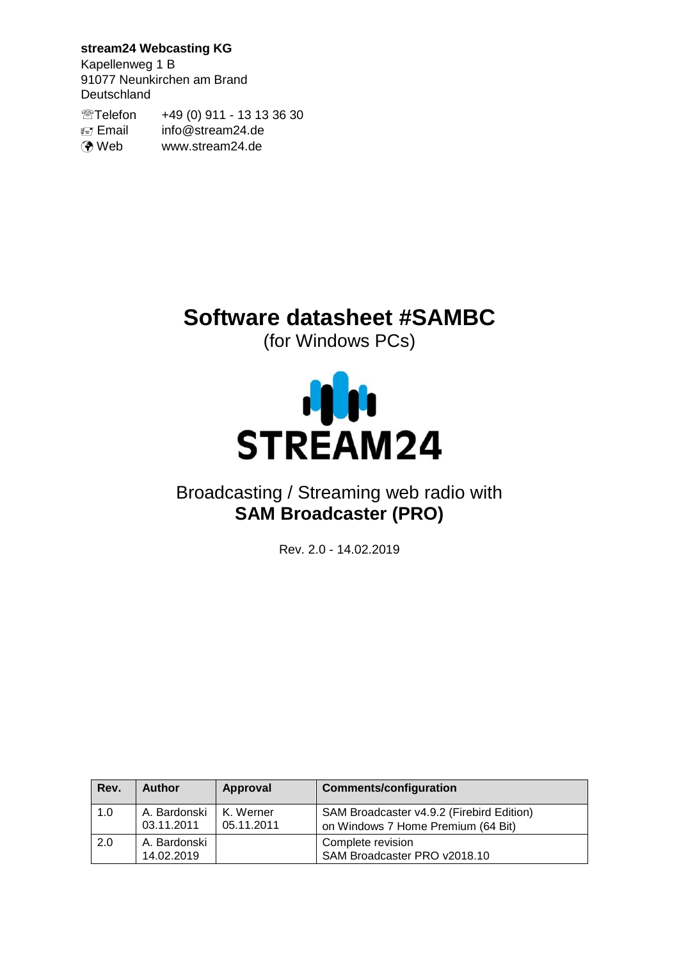## **stream24 Webcasting KG**

Kapellenweg 1 B 91077 Neunkirchen am Brand **Deutschland** 

Telefon +49 (0) 911 - 13 13 36 30 Email info@stream24.de **O** Web www.stream24.de

# **Software datasheet #SAMBC**

(for Windows PCs)



## Broadcasting / Streaming web radio with **SAM Broadcaster (PRO)**

Rev. 2.0 - 14.02.2019

| Rev. | <b>Author</b>              | Approval                | <b>Comments/configuration</b>                                                   |
|------|----------------------------|-------------------------|---------------------------------------------------------------------------------|
| 1.0  | A. Bardonski<br>03.11.2011 | K. Werner<br>05.11.2011 | SAM Broadcaster v4.9.2 (Firebird Edition)<br>on Windows 7 Home Premium (64 Bit) |
| 2.0  | A. Bardonski<br>14.02.2019 |                         | Complete revision<br>SAM Broadcaster PRO v2018.10                               |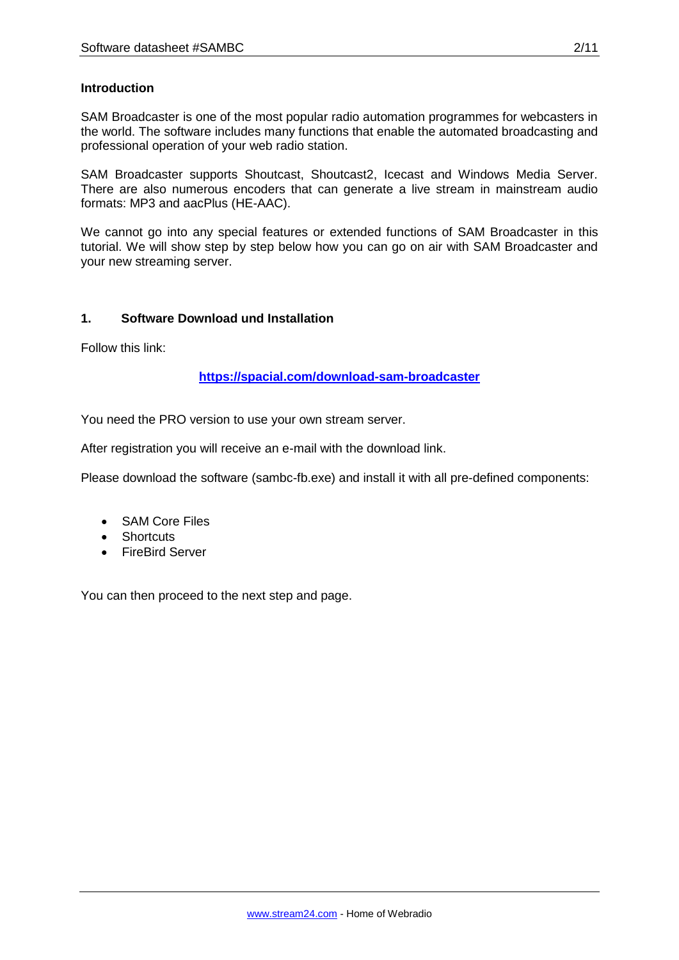#### **Introduction**

SAM Broadcaster is one of the most popular radio automation programmes for webcasters in the world. The software includes many functions that enable the automated broadcasting and professional operation of your web radio station.

SAM Broadcaster supports Shoutcast, Shoutcast2, Icecast and Windows Media Server. There are also numerous encoders that can generate a live stream in mainstream audio formats: MP3 and aacPlus (HE-AAC).

We cannot go into any special features or extended functions of SAM Broadcaster in this tutorial. We will show step by step below how you can go on air with SAM Broadcaster and your new streaming server.

#### **1. Software Download und Installation**

Follow this link:

**<https://spacial.com/download-sam-broadcaster>**

You need the PRO version to use your own stream server.

After registration you will receive an e-mail with the download link.

Please download the software (sambc-fb.exe) and install it with all pre-defined components:

- SAM Core Files
- Shortcuts
- **•** FireBird Server

You can then proceed to the next step and page.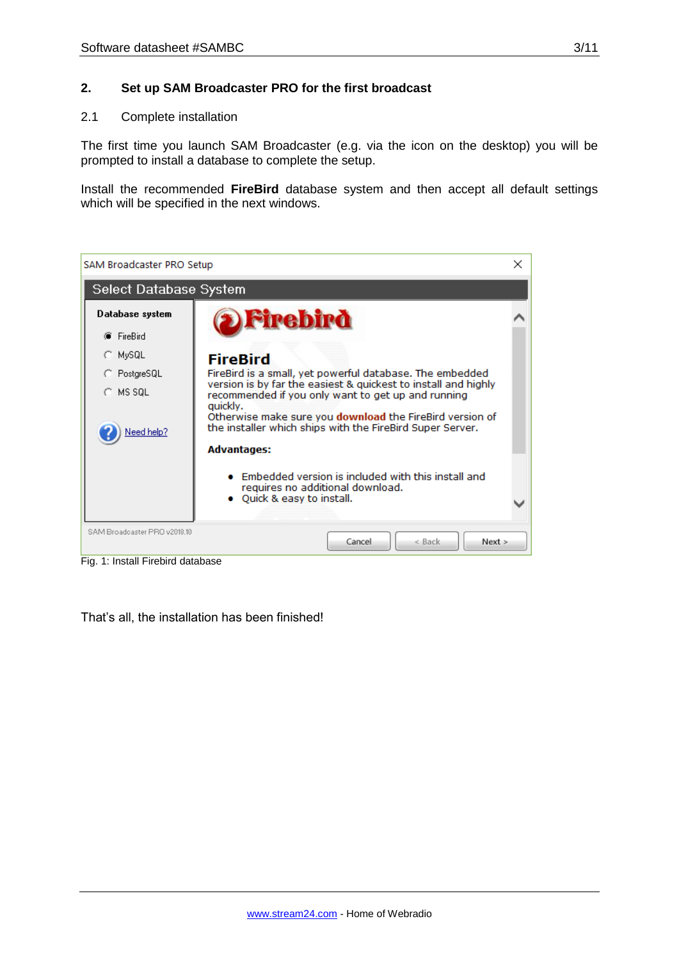#### **2. Set up SAM Broadcaster PRO for the first broadcast**

#### 2.1 Complete installation

The first time you launch SAM Broadcaster (e.g. via the icon on the desktop) you will be prompted to install a database to complete the setup.

Install the recommended **FireBird** database system and then accept all default settings which will be specified in the next windows.



Fig. 1: Install Firebird database

That's all, the installation has been finished!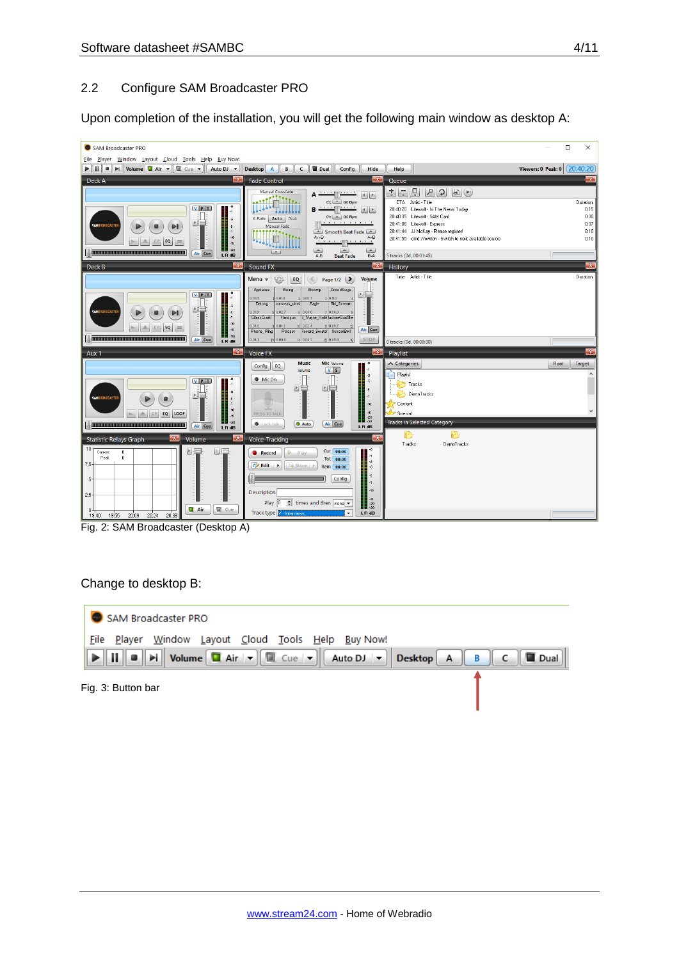#### 2.2 Configure SAM Broadcaster PRO

Upon completion of the installation, you will get the following main window as desktop A:



Fig. 2: SAM Broadcaster (Desktop A)

#### Change to desktop B:



Fig. 3: Button bar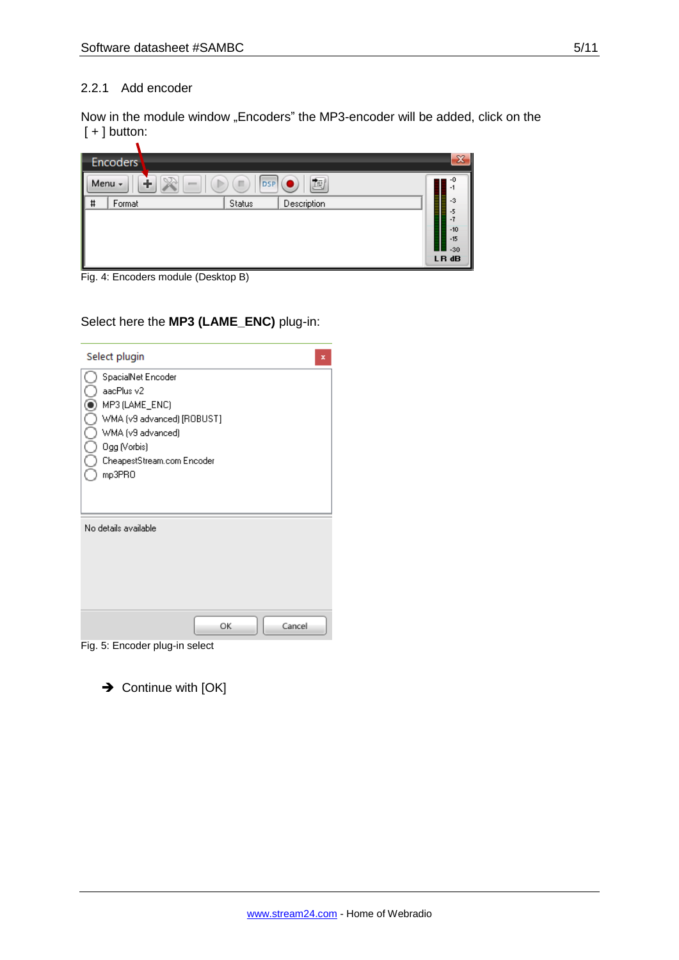#### 2.2.1 Add encoder

Now in the module window "Encoders" the MP3-encoder will be added, click on the  $[ + ]$  button:

| <b>Encoders</b> |                                        |  |               |             |  |                |
|-----------------|----------------------------------------|--|---------------|-------------|--|----------------|
| I               | 動<br><b>DSP</b><br>Menu -<br>m<br>1000 |  |               |             |  |                |
| #               | Format                                 |  | <b>Status</b> | Description |  | $-3$           |
|                 |                                        |  |               |             |  | -5             |
|                 |                                        |  |               |             |  | $-10$<br>$-15$ |
|                 |                                        |  |               |             |  | $-30$          |
|                 |                                        |  |               |             |  | LR dB          |

Fig. 4: Encoders module (Desktop B)

## Select here the **MP3 (LAME\_ENC)** plug-in:

| Select plugin                                                                                                                                                 | × |
|---------------------------------------------------------------------------------------------------------------------------------------------------------------|---|
| SpacialNet Encoder<br>aacPlus v2<br>MP3 (LAME_ENC)<br>WMA (v9 advanced) [ROBUST]<br>WMA (v9 advanced)<br>Ogg (Vorbis)<br>CheapestStream.com Encoder<br>mp3PRO |   |
| No details available                                                                                                                                          |   |
| OK<br>Cancel<br>Fig. 5: Encoder plug-in select                                                                                                                |   |

 $\rightarrow$  Continue with [OK]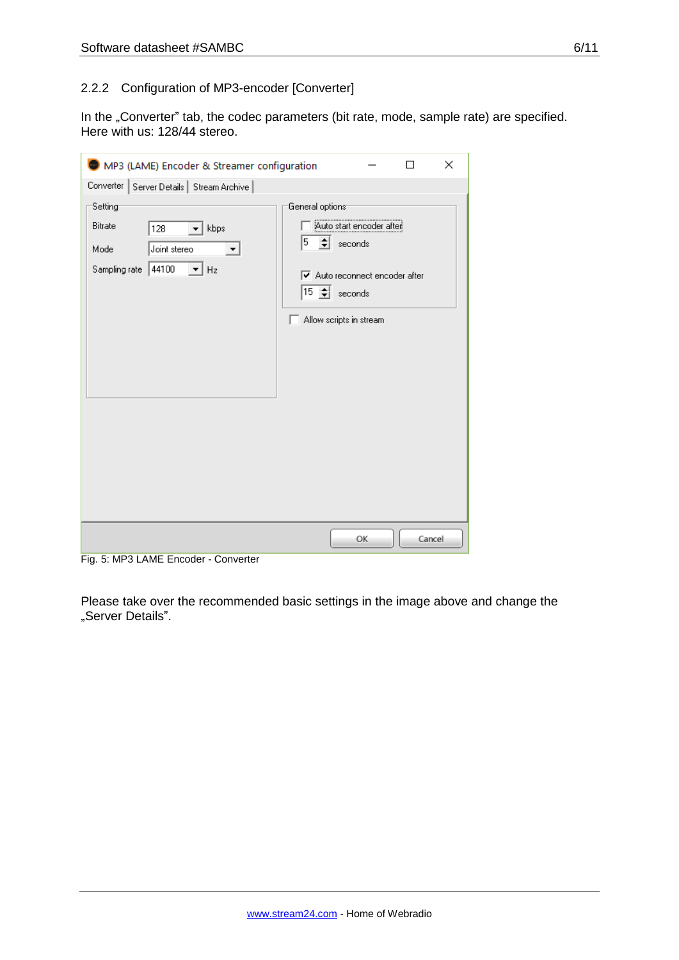#### 2.2.2 Configuration of MP3-encoder [Converter]

In the "Converter" tab, the codec parameters (bit rate, mode, sample rate) are specified. Here with us: 128/44 stereo.

| MP3 (LAME) Encoder & Streamer configuration                                                                |                                   |                                                                                                                                        | П      | × |
|------------------------------------------------------------------------------------------------------------|-----------------------------------|----------------------------------------------------------------------------------------------------------------------------------------|--------|---|
| Converter   Server Details   Stream Archive                                                                |                                   |                                                                                                                                        |        |   |
| Setting<br><b>Bitrate</b><br>kbps<br>128<br>Joint stereo<br>Mode<br>Sampling rate 44100<br>$\mathbf{r}$ Hz | General options <sup>-</sup><br>5 | <br>Auto start encoder after<br>$\leftarrow$ seconds<br>Auto reconnect encoder after<br>$15 \div \sec(100)$<br>Allow scripts in stream |        |   |
|                                                                                                            |                                   | OK                                                                                                                                     | Cancel |   |

Fig. 5: MP3 LAME Encoder - Converter

Please take over the recommended basic settings in the image above and change the "Server Details".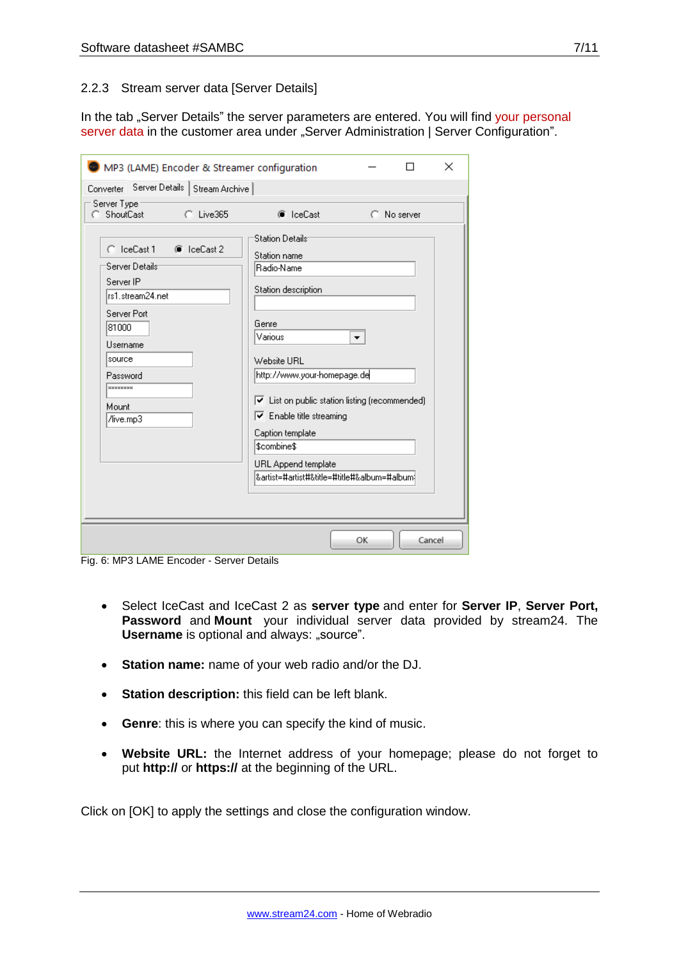#### 2.2.3 Stream server data [Server Details]

In the tab "Server Details" the server parameters are entered. You will find your personal server data in the customer area under "Server Administration | Server Configuration".

| ×<br>MP3 (LAME) Encoder & Streamer configuration                                                                                                                                     |                                                                                                                                                                                                                                                                                                                                                            |    |             |  |  |
|--------------------------------------------------------------------------------------------------------------------------------------------------------------------------------------|------------------------------------------------------------------------------------------------------------------------------------------------------------------------------------------------------------------------------------------------------------------------------------------------------------------------------------------------------------|----|-------------|--|--|
| Server Details  <br>Stream Archive<br>Converter                                                                                                                                      |                                                                                                                                                                                                                                                                                                                                                            |    |             |  |  |
| Server Type<br>ShoutCast<br>$C$ Live365                                                                                                                                              | C IceCast                                                                                                                                                                                                                                                                                                                                                  |    | C No server |  |  |
| $C$ IceCast 1<br>C IceCast 2<br>Server Details:<br>Server IP<br>rs1.stream24.net<br>Server Port<br>81000<br>Username<br>source<br>Password<br><b>xxxxxxxxx</b><br>Mount<br>/live.mp3 | Station Details<br>Station name<br>Radio-Name<br>Station description<br>Genre<br>Various<br>Website URL<br>http://www.your-homepage.de<br>$\triangledown$ List on public station listing (recommended)<br>$\triangledown$ Enable title streaming<br>Caption template<br>\$combine\$<br>URL Append template<br> &artist=#artist#&title=#title#&album=#album | ▼  |             |  |  |
|                                                                                                                                                                                      |                                                                                                                                                                                                                                                                                                                                                            | OK | Cancel      |  |  |

Fig. 6: MP3 LAME Encoder - Server Details

- Select IceCast and IceCast 2 as **server type** and enter for **Server IP**, **Server Port, Password** and **Mount** your individual server data provided by stream24. The **Username** is optional and always: "source".
- **Station name:** name of your web radio and/or the DJ.
- **Station description:** this field can be left blank.
- **Genre**: this is where you can specify the kind of music.
- **Website URL:** the Internet address of your homepage; please do not forget to put **http://** or **https://** at the beginning of the URL.

Click on [OK] to apply the settings and close the configuration window.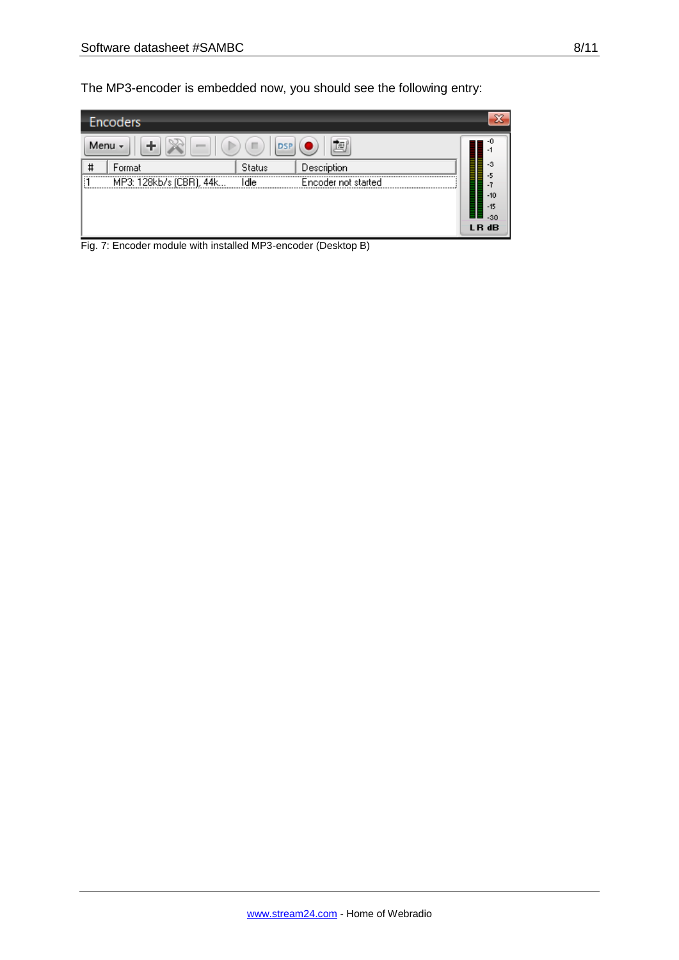| Encoders                  |        |               |                                                     |                           |  |
|---------------------------|--------|---------------|-----------------------------------------------------|---------------------------|--|
| Menu -<br>直<br><b>DSP</b> |        |               |                                                     |                           |  |
| #                         | Format | <b>Status</b> | Description                                         | lillininini<br>▌<br>-3    |  |
| H<br>1.1.1.1              |        |               | [1 MP3: 128kb/s (CBR), 44k Idle Encoder not started | Ξ<br>-5<br>$\blacksquare$ |  |
|                           |        |               |                                                     | $-10$                     |  |
|                           |        |               |                                                     | $-15$<br>$-30$            |  |
|                           |        |               |                                                     | LR dB                     |  |

Fig. 7: Encoder module with installed MP3-encoder (Desktop B)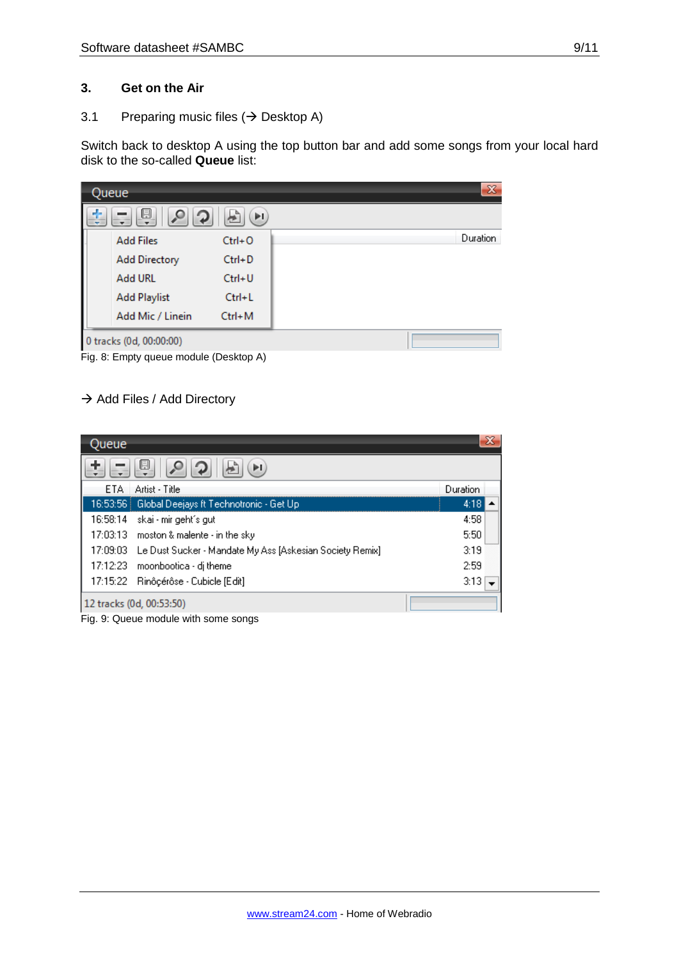#### **3. Get on the Air**

3.1 Preparing music files  $(\rightarrow$  Desktop A)

Switch back to desktop A using the top button bar and add some songs from your local hard disk to the so-called **Queue** list:

| Queue                               |            | $\mathbf{x}$ |
|-------------------------------------|------------|--------------|
| d-<br>恩<br>$\circ$<br>$\mathcal{D}$ | ÞI,<br>卣   |              |
| <b>Add Files</b>                    | $Ctrl + O$ | Duration     |
| <b>Add Directory</b>                | $Ctrl + D$ |              |
| <b>Add URL</b>                      | $Ctrl + U$ |              |
| <b>Add Playlist</b>                 | $Ctrl + L$ |              |
| Add Mic / Linein                    | $Ctrl+M$   |              |
| 0 tracks (0d, 00:00:00)             |            |              |

Fig. 8: Empty queue module (Desktop A)

## $\rightarrow$  Add Files / Add Directory

| Queue |                                                                   |          | x |
|-------|-------------------------------------------------------------------|----------|---|
|       | u<br>ÞI                                                           |          |   |
| ETA   | Artist - Title                                                    | Duration |   |
| Ι     | 16:53:56   Global Deejays ft Technotronic - Get Up                | 4:18     |   |
|       | 16:58:14 skai - mir geht´s gut                                    | 4:58     |   |
|       | 17:03:13 moston & malente - in the sky                            | 5:50     |   |
|       | 17:09:03 Le Dust Sucker - Mandate My Ass [Askesian Society Remix] | 3:19     |   |
|       | 17:12:23 moonbootica - dj theme                                   | 2:59     |   |
|       | 17:15:22 Rinôçérôse - Cubicle [Edit]                              | 3:13     |   |
|       | 12 tracks (0d, 00:53:50)                                          |          |   |

Fig. 9: Queue module with some songs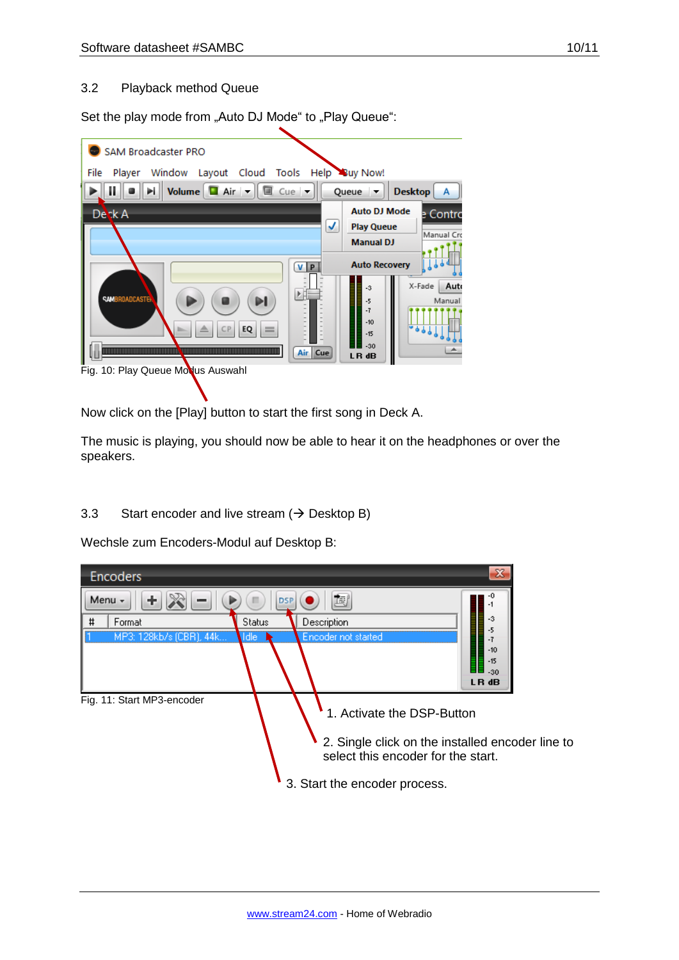#### 3.2 Playback method Queue

Set the play mode from "Auto DJ Mode" to "Play Queue":

| SAM Broadcaster PRO                                                     |                                       |                     |
|-------------------------------------------------------------------------|---------------------------------------|---------------------|
| Window Layout Cloud Tools Help Buy Now!<br>File<br>Player               |                                       |                     |
| Volume $\Box$ Air $\parallel \Box$ Cue $\parallel \mathbf{\nabla}$<br>Ш | Queue $\blacktriangledown$            | <b>Desktop</b><br>А |
| Desk A                                                                  | <b>Auto DJ Mode</b>                   | e Contro            |
|                                                                         | <b>Play Queue</b><br><b>Manual DJ</b> | Manual Cro          |
|                                                                         | <b>Auto Recovery</b>                  |                     |
| <b>VP</b>                                                               | $-3$                                  | X-Fade<br>Auto      |
| 正印<br><b>SAMBROADCASTER</b>                                             | -5                                    | Manual              |
|                                                                         | $-7$<br>$-10$                         | $-941$              |
| EQ<br>$=$<br>СP                                                         | $-15$<br>$-30$                        |                     |
| Air Cue                                                                 | LR dB                                 |                     |
| Fig. 10: Play Queue Modus Auswahl                                       |                                       |                     |

Now click on the [Play] button to start the first song in Deck A.

The music is playing, you should now be able to hear it on the headphones or over the speakers.

3.3 Start encoder and live stream  $(\rightarrow$  Desktop B)

Wechsle zum Encoders-Modul auf Desktop B:

| <b>Encoders</b>                                       |                              |                                                                                                                                                                              | $\infty$                         |
|-------------------------------------------------------|------------------------------|------------------------------------------------------------------------------------------------------------------------------------------------------------------------------|----------------------------------|
| Menu -<br>÷                                           |                              | 固                                                                                                                                                                            |                                  |
| #<br>Format                                           | Description<br><b>Status</b> |                                                                                                                                                                              | -3                               |
| MP3: 128kb/s (CBR), 44k<br>Fig. 11: Start MP3-encoder | \ldle                        | Encoder not started<br>1. Activate the DSP-Button<br>2. Single click on the installed encoder line to<br>select this encoder for the start.<br>3. Start the encoder process. | $-10$<br>$-15$<br>$-30$<br>LR dB |